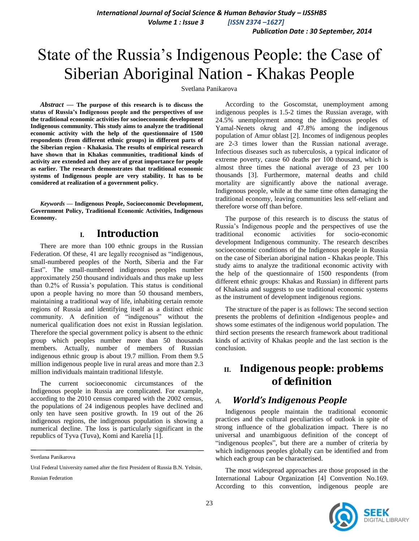*Publication Date : 30 September, 2014*

# State of the Russia's Indigenous People: the Case of Siberian Aboriginal Nation - Khakas People

Svetlana Panikarova

*Abstract* **— The purpose of this research is to discuss the status of Russia's Indigenous people and the perspectives of use the traditional economic activities for socioeconomic development Indigenous community. This study aims to analyze the traditional economic activity with the help of the questionnaire of 1500 respondents (from different ethnic groups) in different parts of the Siberian region - Khakasia. The results of empirical research have shown that in Khakas communities, traditional kinds of activity are extended and they are of great importance for people as earlier. The research demonstrates that traditional economic systems of Indigenous people are very stability. It has to be considered at realization of a government policy.** 

*Keywords* **— Indigenous People, Socioeconomic Development, Government Policy, Traditional Economic Activities, Indigenous Economy.**

### **I. Introduction**

There are more than 100 ethnic groups in the Russian Federation. Of these, 41 are legally recognised as "indigenous, small-numbered peoples of the North, Siberia and the Far East". The small-numbered indigenous peoples number approximately 250 thousand individuals and thus make up less than 0.2% of Russia's population. This status is conditional upon a people having no more than 50 thousand members, maintaining a traditional way of life, inhabiting certain remote regions of Russia and identifying itself as a distinct ethnic community. A definition of "indigenous" without the numerical qualification does not exist in Russian legislation. Therefore the special government policy is absent to the ethnic group which peoples number more than 50 thousands members. Actually, number of members of Russian indigenous ethnic group is about 19.7 million. From them 9.5 million indigenous people live in rural areas and more than 2.3 million individuals maintain traditional lifestyle.

The current socioeconomic circumstances of the Indigenous people in Russia are complicated. For example, according to the 2010 census compared with the 2002 census, the populations of 24 indigenous peoples have declined and only ten have seen positive growth. In 19 out of the 26 indigenous regions, the indigenous population is showing a numerical decline. The loss is particularly significant in the republics of Tyva (Tuva), Komi and Karelia [1].

Russian Federation

According to the Goscomstat, unemployment among indigenous peoples is 1.5-2 times the Russian average, with 24.5% unemployment among the indigenous peoples of Yamal-Nenets okrug and 47.8% among the indigenous population of Amur oblast [2]. Incomes of indigenous peoples are 2-3 times lower than the Russian national average. Infectious diseases such as tuberculosis, a typical indicator of extreme poverty, cause 60 deaths per 100 thousand, which is almost three times the national average of 23 per 100 thousands [3]. Furthermore, maternal deaths and child mortality are significantly above the national average. Indigenous people, while at the same time often damaging the traditional economy, leaving communities less self-reliant and therefore worse off than before.

The purpose of this research is to discuss the status of Russia's Indigenous people and the perspectives of use the traditional economic activities for socio-economic development Indigenous community. The research describes socioeconomic conditions of the Indigenous people in Russia on the case of Siberian aboriginal nation - Khakas people. This study aims to analyze the traditional economic activity with the help of the questionnaire of 1500 respondents (from different ethnic groups: Khakas and Russian) in different parts of Khakasia and suggests to use traditional economic systems as the instrument of development indigenous regions.

The structure of the paper is as follows: The second section presents the problems of definition «Indigenous people» and shows some estimates of the indigenous world population. The third section presents the research framework about traditional kinds of activity of Khakas people and the last section is the conclusion.

# **II. Indigenous people: problems of definition**

### *A. World's Indigenous People*

Indigenous people maintain the traditional economic practices and the cultural peculiarities of outlook in spite of strong influence of the globalization impact. There is no universal and unambiguous definition of the concept of "indigenous peoples", but there are a number of criteria by which indigenous peoples globally can be identified and from which each group can be characterised.

The most widespread approaches are those proposed in the International Labour Organization [4] Convention No.169. According to this convention, indigenous people are



Svetlana Panikarova

Ural Federal University named after the first President of Russia B.N. Yeltsin,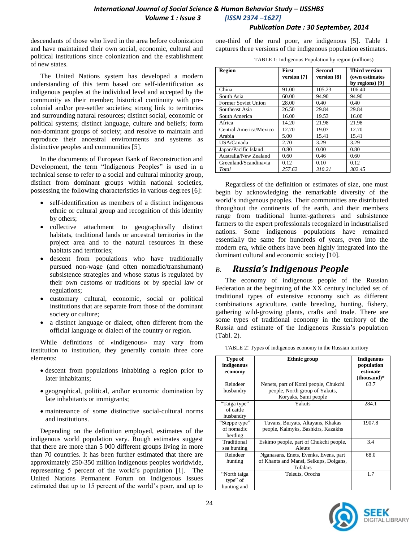### *International Journal of Social Science & Human Behavior Study – IJSSHBS Volume 1 : Issue 3 [ISSN 2374 –1627]*

#### *Publication Date : 30 September, 2014*

descendants of those who lived in the area before colonization and have maintained their own social, economic, cultural and political institutions since colonization and the establishment of new states.

The United Nations system has developed a modern understanding of this term based on: self-identification as indigenous peoples at the individual level and accepted by the community as their member; historical continuity with precolonial and/or pre-settler societies; strong link to territories and surrounding natural resources; distinct social, economic or political systems; distinct language, culture and beliefs; form non-dominant groups of society; and resolve to maintain and reproduce their ancestral environments and systems as distinctive peoples and communities [5]*.*

In the documents of European Bank of Reconstruction and Development, the term "Indigenous Peoples" is used in a technical sense to refer to a social and cultural minority group, distinct from dominant groups within national societies, possessing the following characteristics in various degrees [6]:

- self-identification as members of a distinct indigenous ethnic or cultural group and recognition of this identity by others;
- collective attachment to geographically distinct habitats, traditional lands or ancestral territories in the project area and to the natural resources in these habitats and territories;
- descent from populations who have traditionally pursued non-wage (and often nomadic/transhumant) subsistence strategies and whose status is regulated by their own customs or traditions or by special law or regulations;
- customary cultural, economic, social or political institutions that are separate from those of the dominant society or culture;
- a distinct language or dialect, often different from the official language or dialect of the country or region.

While definitions of «indigenous» may vary from institution to institution, they generally contain three core elements:

- descent from populations inhabiting a region prior to later inhabitants;
- geographical, political, and\or economic domination by late inhabitants or immigrants;
- maintenance of some distinctive social-cultural norms and institutions.

Depending on the definition employed, estimates of the indigenous world population vary. Rough estimates suggest that there are more than 5 000 different groups living in more than 70 countries. It has been further estimated that there are approximately 250-350 million indigenous peoples worldwide, representing 5 percent of the world's population [1]*.* The United Nations Permanent Forum on Indigenous Issues estimated that up to 15 percent of the world's poor, and up to

one-third of the rural poor, are indigenous [5]*.* Table 1 captures three versions of the indigenous population estimates.

| TABLE 1: Indigenous Population by region (millions) |  |  |
|-----------------------------------------------------|--|--|
|                                                     |  |  |

| <b>Region</b>              | <b>First</b><br>version [7] | Second<br>version [8] | <b>Third version</b><br>(own estimates<br>by regions) [9] |
|----------------------------|-----------------------------|-----------------------|-----------------------------------------------------------|
| China                      | 91.00                       | 105.23                | 106.40                                                    |
| South Asia                 | 60.00                       | 94.90                 | 94.90                                                     |
| <b>Former Soviet Union</b> | 28.00                       | 0.40                  | 0.40                                                      |
| Southeast Asia             | 26.50                       | 29.84                 | 29.84                                                     |
| South America              | 16.00                       | 19.53                 | 16.00                                                     |
| Africa                     | 14.20                       | 21.98                 | 21.98                                                     |
| Central America/Mexico     | 12.70                       | 19.07                 | 12.70                                                     |
| Arabia                     | 5.00                        | 15.41                 | 15.41                                                     |
| USA/Canada                 | 2.70                        | 3.29                  | 3.29                                                      |
| Japan/Pacific Island       | 0.80                        | 0.00                  | 0.80                                                      |
| Australia/New Zealand      | 0.60                        | 0.46                  | 0.60                                                      |
| Greenland/Scandinavia      | 0.12                        | 0.10                  | 0.12                                                      |
| Total                      | 257.62                      | 310.21                | 302.45                                                    |

Regardless of the definition or estimates of size, one must begin by acknowledging the remarkable diversity of the world's indigenous peoples. Their communities are distributed throughout the continents of the earth, and their members range from traditional hunter-gatherers and subsistence farmers to the expert professionals recognized in industrialised nations. Some indigenous populations have remained essentially the same for hundreds of years, even into the modern era, while others have been highly integrated into the dominant cultural and economic society [10].

### *B. Russia's Indigenous People*

The economy of indigenous people of the Russian Federation at the beginning of the XX century included set of traditional types of extensive economy such as different combinations agriculture, cattle breeding, hunting, fishery, gathering wild-growing plants, crafts and trade. There are some types of traditional economy in the territory of the Russia and estimate of the Indigenous Russia's population (Tabl. 2).

TABLE 2: Types of indigenous economy in the Russian territory

| Type of<br>indigenous<br>economy        | <b>Ethnic group</b>                                                                            | <b>Indigenous</b><br>population<br>estimate<br>$-thousand)*$ |
|-----------------------------------------|------------------------------------------------------------------------------------------------|--------------------------------------------------------------|
| Reindeer<br>husbandry                   | Nenets, part of Komi people, Chukchi<br>people, North group of Yakuts,<br>Koryaks, Sami people | 63.7                                                         |
| "Taiga type"<br>of cattle<br>husbandry  | Yakuts                                                                                         | 284.1                                                        |
| "Steppe type"<br>of nomadic<br>herding  | Tuvans, Buryats, Altayans, Khakas<br>people, Kalmyks, Bashkirs, Kazakhs                        | 1907.8                                                       |
| Traditional<br>sea hunting              | Eskimo people, part of Chukchi people,<br>Aleuts                                               | 3.4                                                          |
| Reindeer<br>hunting                     | Nganasans, Enets, Evenks, Evens, part<br>of Khants and Mansi, Selkups, Dolgans,<br>Tofalars    | 68.0                                                         |
| "North taiga<br>type" of<br>hunting and | Teleuts, Orochs                                                                                | 1.7                                                          |

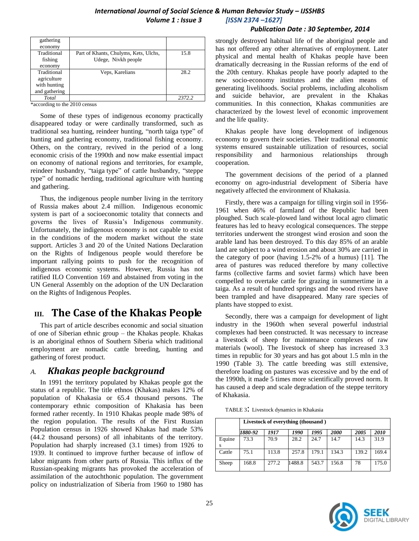#### *Publication Date : 30 September, 2014*

| gathering     |                                       |        |
|---------------|---------------------------------------|--------|
| economy       |                                       |        |
| Traditional   | Part of Khants, Chulyms, Kets, Ulchs, | 15.8   |
| fishing       | Udege, Nivkh people                   |        |
| economy       |                                       |        |
| Traditional   | Veps, Karelians                       | 28.2   |
| agriculture   |                                       |        |
| with hunting  |                                       |        |
| and gathering |                                       |        |
| Total         |                                       | 2372.2 |

\*according to the 2010 census

Some of these types of indigenous economy practically disappeared today or were cardinally transformed, such as traditional sea hunting, reindeer hunting, "north taiga type" of hunting and gathering economy, traditional fishing economy. Others, on the contrary, revived in the period of a long economic crisis of the 1990th and now make essential impact on economy of national regions and territories, for example, reindeer husbandry, "taiga type" of cattle husbandry, "steppe type" of nomadic herding, traditional agriculture with hunting and gathering.

Thus, the indigenous people number living in the territory of Russia makes about 2.4 million. Indigenous economic system is part of a socioeconomic totality that connects and governs the lives of Russia's Indigenous community. Unfortunately, the indigenous economy is not capable to exist in the conditions of the modern market without the state support. Articles 3 and 20 of the United Nations Declaration on the Rights of Indigenous people would therefore be important rallying points to push for the recognition of indigenous economic systems. However, Russia has not ratified ILO Convention 169 and abstained from voting in the UN General Assembly on the adoption of the UN Declaration on the Rights of Indigenous Peoples.

# **III. The Case of the Khakas People**

This part of article describes economic and social situation of one of Siberian ethnic group – the Khakas people. Khakas is an aboriginal ethnos of Southern Siberia which traditional employment are nomadic cattle breeding, hunting and gathering of forest product.

### *A. Khakas people background*

In 1991 the territory populated by Khakas people got the status of a republic. The title ethnos (Khakas) makes 12% of population of Khakasia or 65.4 thousand persons. The contemporary ethnic composition of Khakasia has been formed rather recently. In 1910 Khakas people made 98% of the region population. The results of the First Russian Population census in 1926 showed Khakas had made 53% (44.2 thousand persons) of all inhabitants of the territory. Population had sharply increased (3.1 times) from 1926 to 1939. It continued to improve further because of inflow of labor migrants from other parts of Russia. This influx of the Russian-speaking migrants has provoked the acceleration of assimilation of the autochthonic population. The government policy on industrialization of Siberia from 1960 to 1980 has

strongly destroyed habitual life of the aboriginal people and has not offered any other alternatives of employment. Later physical and mental health of Khakas people have been dramatically decreasing in the Russian reforms of the end of the 20th century*.* Khakas people have poorly adapted to the new socio-economy institutes and the alien means of generating livelihoods. Social problems, including alcoholism and suicide behavior, are prevalent in the Khakas communities. In this connection, Khakas communities are characterized by the lowest level of economic improvement and the life quality.

Khakas people have long development of indigenous economy to govern their societies. Their traditional economic systems ensured sustainable utilization of resources, social responsibility and harmonious relationships through cooperation.

The government decisions of the period of a planned economy on agro-industrial development of Siberia have negatively affected the environment of Khakasia.

Firstly, there was a campaign for tilling virgin soil in 1956- 1961 when 46% of farmland of the Republic had been ploughed. Such scale-plowed land without local agro climatic features has led to heavy ecological consequences. The steppe territories underwent the strongest wind erosion and soon the arable land has been destroyed. To this day 85% of an arable land are subject to a wind erosion and about 30% are carried in the category of poor (having 1.5-2% of a humus) [11]*.* The area of pastures was reduced therefore by many collective farms (collective farms and soviet farms) which have been compelled to overtake cattle for grazing in summertime in a taiga. As a result of hundred springs and the wood rivers have been trampled and have disappeared. Many rare species of plants have stopped to exist.

Secondly, there was a campaign for development of light industry in the 1960th when several powerful industrial complexes had been constructed. It was necessary to increase a livestock of sheep for maintenance complexes of raw materials (wool). The livestock of sheep has increased 3.3 times in republic for 30 years and has got about 1.5 mln in the 1990 (Table 3). The cattle breeding was still extensive, therefore loading on pastures was excessive and by the end of the 1990th, it made 5 times more scientifically proved norm. It has caused a deep and scale degradation of the steppe territory of Khakasia.

TABLE 3: Livestock dynamics in Khakasia

|        | Livestock of everything (thousand) |       |        |       |       |       |       |
|--------|------------------------------------|-------|--------|-------|-------|-------|-------|
|        | 1880-92                            | 1917  | 1990   | 1995  | 2000  | 2005  | 2010  |
| Equine | 73.3                               | 70.9  | 28.2   | 24.7  | 14.7  | 14.3  | 31.9  |
| Cattle | 75.1                               | 113.8 | 257.8  | 179.1 | 134.3 | 139.2 | 169.4 |
| Sheep  | 168.8                              | 277.2 | 1488.8 | 543.7 | 156.8 | 78    | 175.0 |

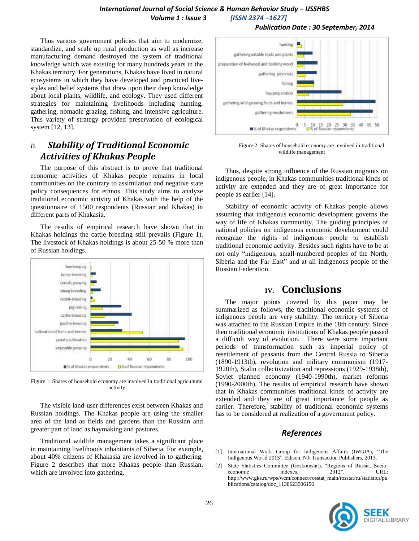### *International Journal of Social Science & Human Behavior Study – IJSSHBS Volume 1 : Issue 3 [ISSN 2374 –1627]*

 *Publication Date : 30 September, 2014*

Thus various government policies that aim to modernize, standardize, and scale up rural production as well as increase manufacturing demand destroyed the system of traditional knowledge which was existing for many hundreds years in the Khakas territory. For generations, Khakas have lived in natural ecosystems in which they have developed and practiced livestyles and belief systems that draw upon their deep knowledge about local plants, wildlife, and ecology. They used different strategies for maintaining livelihoods including hunting, gathering, nomadic grazing, fishing, and intensive agriculture. This variety of strategy provided preservation of ecological system [12, 13].

## *B. Stability of Traditional Economic Activities of Khakas People*

The purpose of this abstract is to prove that traditional economic activities of Khakas people remains in local communities on the contrary to assimilation and negative state policy consequences for ethnos. This study aims to analyze traditional economic activity of Khakas with the help of the questionnaire of 1500 respondents (Russian and Khakas) in different parts of Khakasia.

The results of empirical research have shown that in Khakas holdings the cattle breeding still prevails (Figure 1). The livestock of Khakas holdings is about 25-50 % more than of Russian holdings.



Figure 1: Shares of household economy are involved in traditional agricultural activity

The visible land-user differences exist between Khakas and Russian holdings. The Khakas people are using the smaller area of the land as fields and gardens than the Russian and greater part of land as haymaking and pastures.

Traditional wildlife management takes a significant place in maintaining livelihoods inhabitants of Siberia. For example, about 40% citizens of Khakasia are involved in to gathering. Figure 2 describes that more Khakas people than Russian, which are involved into gathering.



Figure 2: Shares of household economy are involved in traditional wildlife management

Thus, despite strong influence of the Russian migrants on indigenous people, in Khakas communities traditional kinds of activity are extended and they are of great importance for people as earlier [14].

Stability of economic activity of Khakas people allows assuming that indigenous economic development governs the way of life of Khakas community. The guiding principles of national policies on indigenous economic development could recognize the rights of indigenous people to establish traditional economic activity. Besides such rights have to be at not only "indigenous, small-numbered peoples of the North, Siberia and the Far East" and at all indigenous people of the Russian Federation.

### **IV. Conclusions**

The major points covered by this paper may be summarized as follows, the traditional economic systems of indigenous people are very stability. The territory of Siberia was attached to the Russian Empire in the 18th century. Since then traditional economic institutions of Khakas people passed a difficult way of evolution. There were some important periods of transformation such as imperial policy of resettlement of peasants from the Central Russia to Siberia (1890-1913th), revolution and military communism (1917- 1920th), Stalin collectivization and repressions (1929-1938th), Soviet planned economy (1940-1990th), market reforms (1990-2000th). The results of empirical research have shown that in Khakas communities traditional kinds of activity are extended and they are of great importance for people as earlier. Therefore, stability of traditional economic systems has to be considered at realization of a government policy.

### *References*

- [1] International Work Group for Indigenous Affairs (IWGIA), "The Indigenous World 2013‖. Edison, NJ: Transaction Publishers, 2013.
- [2] State Statistics Committee (Goskomstat), "Regions of Russia. Socioeconomic indexes. 2012". URL: http://www.gks.ru/wps/wcm/connect/rosstat\_main/rosstat/ru/statistics/pu blications/catalog/doc\_1138623506156